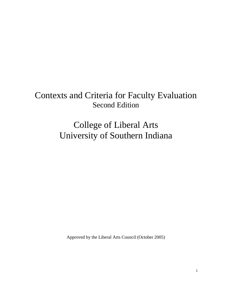# Contexts and Criteria for Faculty Evaluation Second Edition

College of Liberal Arts University of Southern Indiana

Approved by the Liberal Arts Council (October 2005)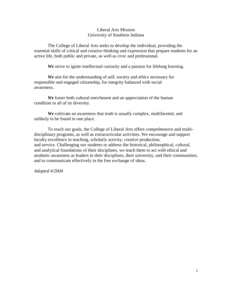## Liberal Arts Mission University of Southern Indiana

The College of Liberal Arts seeks to develop the individual, providing the essential skills of critical and creative thinking and expression that prepare students for an active life, both public and private, as well as civic and professional.

*We* strive to ignite intellectual curiosity and a passion for lifelong learning.

*We* aim for the understanding of self, society and ethics necessary for responsible and engaged citizenship, for integrity balanced with social awareness.

*We* foster both cultural enrichment and an appreciation of the human condition in all of its diversity.

*We* cultivate an awareness that truth is usually complex, multifaceted, and unlikely to be found in one place.

To reach our goals, the College of Liberal Arts offers comprehensive and multidisciplinary programs, as well as extracurricular activities. We encourage and support faculty excellence in teaching, scholarly activity, creative production, and service. Challenging our students to address the historical, philosophical, cultural, and analytical foundations of their disciplines, we teach them to act with ethical and aesthetic awareness as leaders in their disciplines, their university, and their communities; and to communicate effectively in the free exchange of ideas.

*Adopted 4/2004*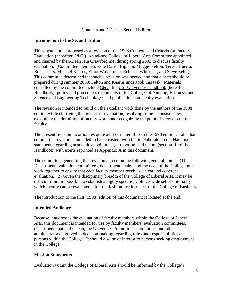#### Contexts and Criteria--Second Edition

## **Introduction to the Second Edition**

This document is proposed as a revision of the 1998 Contexts and Criteria for Faculty Evaluation (hereafter C&C.) An ad-hoc College of Liberal Arts Committee appointed and chaired by then-Dean Iain Crawford met during spring 2003 to discuss faculty evaluation. (Committee members were Darrel Bigham, Maggie Felton, Teresa Huerta, Bob Jeffers, Michael Kearns, Elliot Wasserman, Rebecca Whisnant, and Steve Zehr.) This committee determined that such a revision was needed and that a draft should be prepared during summer 2003; Felton and Kearns undertook this task. Materials consulted by the committee include  $C&C$ ; the USI University Handbook (hereafter Handbook); policy and procedures documents of the Colleges of Nursing, Business, and Science and Engineering Technology; and publications on faculty evaluation.

The revision is intended to build on the excellent work done by the authors of the 1998 edition while clarifying the process of evaluation, resolving some inconsistencies, expanding the definition of faculty work, and recognizing the point of view of contract faculty.

The present revision incorporates quite a bit of material from the 1998 edition. Like that edition, the revision is intended to be consistent with but to elaborate on the Handbook statements regarding academic appointment, promotion, and tenure (section III of the Handbook) with exerts reprinted as Appendix A in this document.

The committee generating this revision agreed on the following general points. (1) Department evaluation committees, department chairs, and the dean of the College must work together to ensure that each faculty member receives a clear and coherent evaluation. (2) Given the disciplinary breadth of the College of Liberal Arts, it may be difficult if not impossible to establish a highly specific, College-wide set of criteria by which faculty can be evaluated, after the fashion, for instance, of the College of Business.

The introduction to the first (1998) edition of this document is located at the end.

## **Intended Audience**

Because it addresses the evaluation of faculty members within the College of Liberal Arts, this document is intended for use by faculty members, evaluation committees, department chairs, the dean, the University Promotions Committee, and other administrators involved in decision-making regarding roles and responsibilities of persons within the College. It should also be of interest to persons seeking employment in the College.

## **Mission Statements**

Evaluation within the College of Liberal Arts should be informed by the College's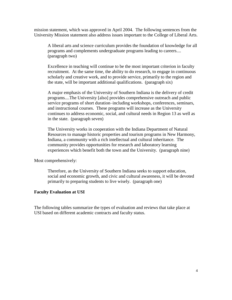mission statement, which was approved in April 2004. The following sentences from the University Mission statement also address issues important to the College of Liberal Arts.

A liberal arts and science curriculum provides the foundation of knowledge for all programs and complements undergraduate programs leading to careers.... (paragraph two)

Excellence in teaching will continue to be the most important criterion in faculty recruitment. At the same time, the ability to do research, to engage in continuous scholarly and creative work, and to provide service, primarily to the region and the state, will be important additional qualifications. (paragraph six)

A major emphasis of the University of Southern Indiana is the delivery of credit programs....The University [also] provides comprehensive outreach and public service programs of short duration–including workshops, conferences, seminars, and instructional courses. These programs will increase as the University continues to address economic, social, and cultural needs in Region 13 as well as in the state. (paragraph seven)

The University works in cooperation with the Indiana Department of Natural Resources to manage historic properties and tourism programs in New Harmony, Indiana, a community with a rich intellectual and cultural inheritance. The community provides opportunities for research and laboratory learning experiences which benefit both the town and the University. (paragraph nine)

Most comprehensively:

Therefore, as the University of Southern Indiana seeks to support education, social and economic growth, and civic and cultural awareness, it will be devoted primarily to preparing students to live wisely. (paragraph one)

## **Faculty Evaluation at USI**

The following tables summarize the types of evaluation and reviews that take place at USI based on different academic contracts and faculty status.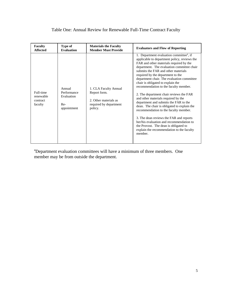# Table One: Annual Review for Renewable Full-Time Contract Faculty

| <b>Faculty</b>                                | Type of                                                   | <b>Materials the Faculty</b>                                                                        | <b>Evaluators and Flow of Reporting</b>                                                                                                                                                                                                                                                                                                                                                                                                                                                                                                                                                                                                                                                                                                                                                                          |
|-----------------------------------------------|-----------------------------------------------------------|-----------------------------------------------------------------------------------------------------|------------------------------------------------------------------------------------------------------------------------------------------------------------------------------------------------------------------------------------------------------------------------------------------------------------------------------------------------------------------------------------------------------------------------------------------------------------------------------------------------------------------------------------------------------------------------------------------------------------------------------------------------------------------------------------------------------------------------------------------------------------------------------------------------------------------|
| <b>Affected</b>                               | <b>Evaluation</b>                                         | <b>Member Must Provide</b>                                                                          |                                                                                                                                                                                                                                                                                                                                                                                                                                                                                                                                                                                                                                                                                                                                                                                                                  |
| Full-time<br>renewable<br>contract<br>faculty | Annual<br>Performance<br>Evaluation<br>Re-<br>appointment | 1. CLA Faculty Annual<br>Report form.<br>2. Other materials as<br>required by department<br>policy. | 1. Department evaluation committee <sup>a</sup> , if<br>applicable to department policy, reviews the<br>FAR and other materials required by the<br>department. The evaluation committee chair<br>submits the FAR and other materials<br>required by the department to the<br>department chair. The evaluation committee<br>chair is obligated to explain the<br>recommendation to the faculty member.<br>2. The department chair reviews the FAR<br>and other materials required by the<br>department and submits the FAR to the<br>dean. The chair is obligated to explain the<br>recommendation to the faculty member.<br>3. The dean reviews the FAR and reports<br>her/his evaluation and recommendation to<br>the Provost. The dean is obligated to<br>explain the recommendation to the faculty<br>member. |

<sup>a</sup>Department evaluation committees will have a minimum of three members. One member may be from outside the department.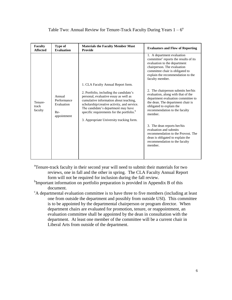| <b>Faculty</b>              | Type of                                                   | <b>Materials the Faculty Member Must</b>                                                                                                                                                                                                                                                                                                                    | <b>Evaluators and Flow of Reporting</b>                                                                                                                                                                                                                                                                                                                                                                                                                                                                                                                                                                                                                 |
|-----------------------------|-----------------------------------------------------------|-------------------------------------------------------------------------------------------------------------------------------------------------------------------------------------------------------------------------------------------------------------------------------------------------------------------------------------------------------------|---------------------------------------------------------------------------------------------------------------------------------------------------------------------------------------------------------------------------------------------------------------------------------------------------------------------------------------------------------------------------------------------------------------------------------------------------------------------------------------------------------------------------------------------------------------------------------------------------------------------------------------------------------|
| <b>Affected</b>             | <b>Evaluation</b>                                         | <b>Provide</b>                                                                                                                                                                                                                                                                                                                                              |                                                                                                                                                                                                                                                                                                                                                                                                                                                                                                                                                                                                                                                         |
| Tenure-<br>track<br>faculty | Annual<br>Performance<br>Evaluation<br>Re-<br>appointment | 1. CLA Faculty Annual Report form.<br>2. Portfolio, including the candidate's<br>personal, evaluative essay as well as<br>cumulative information about teaching,<br>scholarship/creative activity, and service.<br>The candidate's department may have<br>specific requirements for the portfolio. <sup>b</sup><br>3. Appropriate University tracking form. | 1. A department evaluation<br>committee <sup>c</sup> reports the results of its<br>evaluation to the department<br>chairperson. The evaluation<br>committee chair is obligated to<br>explain the recommendation to the<br>faculty member.<br>2. The chairperson submits her/his<br>evaluation, along with that of the<br>department evaluation committee to<br>the dean. The department chair is<br>obligated to explain the<br>recommendation to the faculty<br>member.<br>3. The dean reports her/his<br>evaluation and submits<br>recommendation to the Provost. The<br>dean is obligated to explain the<br>recommendation to the faculty<br>member. |

# Table Two: Annual Review for Tenure-Track Faculty During Years  $1-6^{\alpha}$

- <sup>a</sup>Tenure-track faculty in their second year will need to submit their materials for two reviews, one in fall and the other in spring. The CLA Faculty Annual Report form will not be required for inclusion during the fall review.
- <sup>b</sup>Important information on portfolio preparation is provided in Appendix B of this document.
- $c^c$ A departmental evaluation committee is to have three to five members (including at least one from outside the department and possibly from outside USI). This committee is to be appointed by the departmental chairperson or program director. When department chairs are evaluated for promotion, tenure, or reappointment, an evaluation committee shall be appointed by the dean in consultation with the department. At least one member of the committee will be a current chair in Liberal Arts from outside of the department.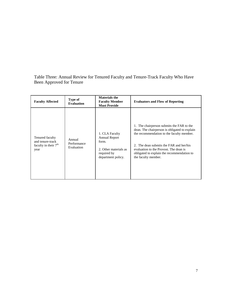Table Three: Annual Review for Tenured Faculty and Tenure-Track Faculty Who Have Been Approved for Tenure

| <b>Faculty Affected</b>                                                         | Type of<br><b>Evaluation</b>        | <b>Materials the</b><br><b>Faculty Member</b><br><b>Must Provide</b>                                          | <b>Evaluators and Flow of Reporting</b>                                                                                                                                                                                                                                                           |
|---------------------------------------------------------------------------------|-------------------------------------|---------------------------------------------------------------------------------------------------------------|---------------------------------------------------------------------------------------------------------------------------------------------------------------------------------------------------------------------------------------------------------------------------------------------------|
| Tenured faculty<br>and tenure-track<br>faculty in their 7 <sup>th</sup><br>year | Annual<br>Performance<br>Evaluation | 1. CLA Faculty<br><b>Annual Report</b><br>form.<br>2. Other materials as<br>required by<br>department policy. | 1. The chairperson submits the FAR to the<br>dean. The chairperson is obligated to explain<br>the recommendation to the faculty member.<br>2. The dean submits the FAR and her/his<br>evaluation to the Provost. The dean is<br>obligated to explain the recommendation to<br>the faculty member. |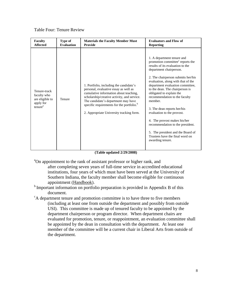# Table Four: Tenure Review

| <b>Faculty</b>                                                                     | Type of           | <b>Materials the Faculty Member Must</b>                                                                                                                                                                                                                                                                              | <b>Evaluators and Flow of</b>                                                                                                                                                                                                                                                                                                                                                                                                                                                                                                                                                                     |
|------------------------------------------------------------------------------------|-------------------|-----------------------------------------------------------------------------------------------------------------------------------------------------------------------------------------------------------------------------------------------------------------------------------------------------------------------|---------------------------------------------------------------------------------------------------------------------------------------------------------------------------------------------------------------------------------------------------------------------------------------------------------------------------------------------------------------------------------------------------------------------------------------------------------------------------------------------------------------------------------------------------------------------------------------------------|
| <b>Affected</b>                                                                    | <b>Evaluation</b> | <b>Provide</b>                                                                                                                                                                                                                                                                                                        | <b>Reporting</b>                                                                                                                                                                                                                                                                                                                                                                                                                                                                                                                                                                                  |
| Tenure-track<br>faculty who<br>are eligible to<br>apply for<br>tenure <sup>a</sup> | Tenure            | 1. Portfolio, including the candidate's<br>personal, evaluative essay as well as<br>cumulative information about teaching,<br>scholarship/creative activity, and service.<br>The candidate's department may have<br>specific requirements for the portfolio. <sup>b</sup><br>2. Appropriate University tracking form. | 1. A department tenure and<br>promotion committee <sup>c</sup> reports the<br>results of its evaluation to the<br>department chairperson.<br>2. The chairperson submits her/his<br>evaluation, along with that of the<br>department evaluation committee,<br>to the dean. The chairperson is<br>obligated to explain the<br>recommendation to the faculty<br>member.<br>3. The dean reports her/his<br>evaluation to the provost.<br>4. The provost makes his/her<br>recommendation to the president.<br>5. The president and the Board of<br>Trustees have the final word on<br>awarding tenure. |

#### **(Table updated 2/29/2008)**

- <sup>a</sup>On appointment to the rank of assistant professor or higher rank, and after completing seven years of full-time service in accredited educational institutions, four years of which must have been served at the University of Southern Indiana, the faculty member shall become eligible for continuous appointment (Handbook).
- <sup>b</sup> Important information on portfolio preparation is provided in Appendix B of this document.
- <sup>c</sup>A department tenure and promotion committee is to have three to five members (including at least one from outside the department and possibly from outside USI). This committee is made up of tenured faculty to be appointed by the department chairperson or program director. When department chairs are evaluated for promotion, tenure, or reappointment, an evaluation committee shall be appointed by the dean in consultation with the department. At least one member of the committee will be a current chair in Liberal Arts from outside of the department.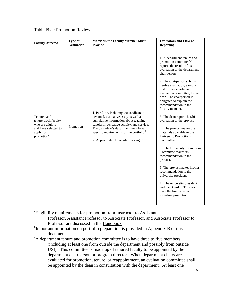#### Table Five: Promotion Review

| <b>Faculty Affected</b>                                                                                                | <b>Type of</b>    | <b>Materials the Faculty Member Must</b>                                                                                                                                                                                                                                                                              | <b>Evaluators and Flow of</b>                                                                                                                                                                                                                                                                                                                                                                                                                                                                                                                                                                                                                                                                                                                                                                                                               |
|------------------------------------------------------------------------------------------------------------------------|-------------------|-----------------------------------------------------------------------------------------------------------------------------------------------------------------------------------------------------------------------------------------------------------------------------------------------------------------------|---------------------------------------------------------------------------------------------------------------------------------------------------------------------------------------------------------------------------------------------------------------------------------------------------------------------------------------------------------------------------------------------------------------------------------------------------------------------------------------------------------------------------------------------------------------------------------------------------------------------------------------------------------------------------------------------------------------------------------------------------------------------------------------------------------------------------------------------|
|                                                                                                                        | <b>Evaluation</b> | <b>Provide</b>                                                                                                                                                                                                                                                                                                        | <b>Reporting</b>                                                                                                                                                                                                                                                                                                                                                                                                                                                                                                                                                                                                                                                                                                                                                                                                                            |
| Tenured and<br>tenure-track faculty<br>who are eligible<br>and have selected to<br>apply for<br>promotion <sup>a</sup> | Promotion         | 1. Portfolio, including the candidate's<br>personal, evaluative essay as well as<br>cumulative information about teaching,<br>scholarship/creative activity, and service.<br>The candidate's department may have<br>specific requirements for the portfolio. <sup>b</sup><br>2. Appropriate University tracking form. | 1. A department tenure and<br>promotion committee <sup>c,d</sup><br>reports the results of its<br>evaluation to the department<br>chairperson.<br>2. The chairperson submits<br>her/his evaluation, along with<br>that of the department<br>evaluation committee, to the<br>dean. The chairperson is<br>obligated to explain the<br>recommendation to the<br>faculty member.<br>3. The dean reports her/his<br>evaluation to the provost.<br>4. The provost makes the<br>materials available to the<br><b>University Promotions</b><br>Committee.<br>5. The University Promotions<br>Committee makes its<br>recommendation to the<br>provost.<br>6. The provost makes his/her<br>recommendation to the<br>university president<br>7. The university president<br>and the Board of Trustees<br>have the final word on<br>awarding promotion. |

<sup>a</sup> Eligibility requirements for promotion from Instructor to Assistant

Professor, Assistant Professor to Associate Professor, and Associate Professor to Professor are discussed in the Handbook.

<sup>b</sup>Important information on portfolio preparation is provided in Appendix B of this document.

<sup>c</sup>A department tenure and promotion committee is to have three to five members (including at least one from outside the department and possibly from outside USI). This committee is made up of tenured faculty to be appointed by the department chairperson or program director. When department chairs are evaluated for promotion, tenure, or reappointment, an evaluation committee shall be appointed by the dean in consultation with the department. At least one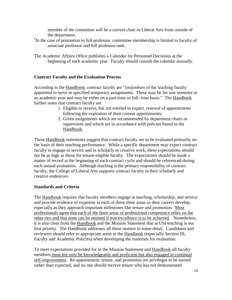member of the committee will be a current chair in Liberal Arts from outside of the department.

<sup>d</sup>In the case of promotion to full professor, committee membership is limited to faculty of associate professor and full professor rank.

The Academic Affairs Office publishes a Calendar for Personnel Decisions at the beginning of each academic year. Faculty should consult the calendar annually.

## **Contract Faculty and the Evaluation Process**

According to the Handbook, contract faculty are "[m]embers of the teaching faculty appointed to serve in specified temporary assignments. These may be for one semester or an academic year and may be either on a part-time or full- time basis." The Handbook further notes that contract faculty are

- 1. Eligible to receive, but not entitled to expect, renewal of appointments following the expiration of their current appointments;
- 2. Given assignments which are recommended by department chairs or supervisors and which are in accordance with policies found in the Handbook*.*

These Handbook statements suggest that contract faculty are to be evaluated primarily on the basis of their teaching performance. While a specific department may expect contract faculty to engage in service and in scholarly or creative work, these expectations should not be as high as those for tenure-eligible faculty. The expectations should be made a matter of record at the beginning of each contract cycle and should be referenced during each annual evaluation. Although teaching is the primary responsibility of contract faculty, the College of Liberal Arts supports contract faculty in their scholarly and creative endeavors.

## **Standards and Criteria**

The Handbook requires that faculty members engage in teaching, scholarship, and service and provide evidence of expertise in each of these three areas as their careers develop, especially as they approach important milestones like tenure and promotion. Most professionals agree that each of the three areas of professional competence relies on the other two and that none can be omitted if true excellence is to be achieved. Nonetheless, it is also clear from the Handbook and the Mission Statement that at USI teaching is our first priority. The Handbook addresses all these matters in some detail. Candidates and reviewers should refer to appropriate areas in the Handbook (especially Section III, Faculty and Academic Policies) when developing the materials for evaluation.

To meet expectations provided for in the Mission Statement and Handbook all faculty members must not only be knowledgeable and proficient but also engaged in continual self-improvement. Re-appointment, tenure, and promotion are privileges to be earned rather than expected, and no one should receive tenure who has not demonstrated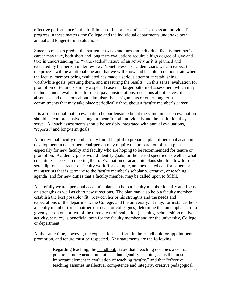effective performance in the fulfillment of his or her duties. To assess an individual's progress in these matters, the College and the individual departments undertake both annual and longer-term evaluations

Since no one can predict the particular twists and turns an individual faculty member's career may take, both short and long term evaluations require a high degree of give and take in understanding the "value-added" nature of an activity as it is planned and executed by the person under review. Nonetheless, as academicians we can expect that the process will be a rational one and that we will know and be able to demonstrate when the faculty member being evaluated has made a serious attempt at establishing worthwhile goals, pursuing them, and measuring the results. In this sense, evaluation for promotion or tenure is simply a special case in a larger pattern of assessment which may include annual evaluations for merit pay considerations, decisions about leaves of absences, and decisions about administrative assignments or other long term commitments that may take place periodically throughout a faculty member's career.

It is also essential that no evaluation be burdensome but at the same time each evaluation should be comprehensive enough to benefit both individuals and the institution they serve. All such assessments should be sensibly integrated with annual evaluations, "reports," and long-term goals.

An individual faculty member may find it helpful to prepare a plan of personal academic development; a department chairperson may require the preparation of such plans, especially for new faculty and faculty who are hoping to be recommended for tenure or promotion. Academic plans would identify goals for the period specified as well as what constitutes success in meeting them. Evaluation of academic plans should allow for the serendipitous character of faculty work (for example, an unexpected call for papers or manuscripts that is germane to the faculty member's scholarly, creative, or teaching agenda) and for new duties that a faculty member may be called upon to fulfill.

A carefully written personal academic plan can help a faculty member identify and focus on strengths as well as chart new directions. The plan may also help a faculty member establish the best possible "fit" between her or his strengths and the needs and expectations of the department, the College, and the university. It may, for instance, help a faculty member (or a chairperson, dean, or colleagues) determine that an emphasis for a given year on one or two of the three areas of evaluation (teaching, scholarship/creative activity, service) is beneficial both for the faculty member and for the university, College, or department.

At the same time, however, the expectations set forth in the Handbook for appointment, promotion, and tenure must be respected. Key statements are the following.

> Regarding teaching, the Handbook states that "teaching occupies a central position among academic duties," that "Quality teaching . . . is the most important element in evaluation of teaching faculty," and that "effective teaching assumes intellectual competence and integrity, creative pedagogical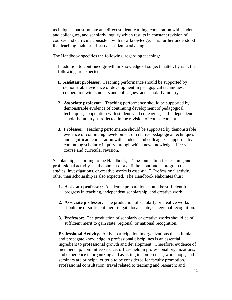techniques that stimulate and direct student learning, cooperation with students and colleagues, and scholarly inquiry which results in constant revision of courses and curricula consistent with new knowledge. It is further understood that teaching includes effective academic advising."

The Handbook specifies the following, regarding teaching:

In addition to continued growth in knowledge of subject matter, by rank the following are expected:

- **1. Assistant professor:** Teaching performance should be supported by demonstrable evidence of development in pedagogical techniques, cooperation with students and colleagues, and scholarly inquiry.
- **2. Associate professor:** Teaching performance should be supported by demonstrable evidence of continuing development of pedagogical techniques, cooperation with students and colleagues, and independent scholarly inquiry as reflected in the revision of course content.
- **3. Professor:** Teaching performance should be supported by demonstrable evidence of continuing development of creative pedagogical techniques and significant cooperation with students and colleagues, supported by continuing scholarly inquiry through which new knowledge affects course and curricular revision.

Scholarship, according to the Handbook, is "the foundation for teaching and professional activity . . . the pursuit of a definite, continuous program of studies, investigations, or creative works is essential." Professional activity other than scholarship is also expected. The Handbook elaborates thus:

- **1. Assistant professor:** Academic preparation should be sufficient for progress in teaching, independent scholarship, and creative work.
- **2. Associate professor:** The production of scholarly or creative works should be of sufficient merit to gain local, state, or regional recognition.
- **3. Professor:** The production of scholarly or creative works should be of sufficient merit to gain state, regional, or national recognition.

**Professional Activity.** Active participation in organizations that stimulate and propagate knowledge in professional disciplines is an essential ingredient to professional growth and development. Therefore, evidence of membership; committee service; offices held in professional organizations; and experience in organizing and assisting in conferences, workshops, and seminars are principal criteria to be considered for faculty promotion. Professional consultation; travel related to teaching and research; and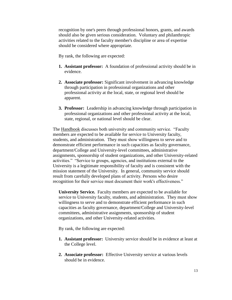recognition by one's peers through professional honors, grants, and awards should also be given serious consideration. Voluntary and philanthropic activities related to the faculty member's discipline or area of expertise should be considered where appropriate.

By rank, the following are expected:

- **1. Assistant professor:** A foundation of professional activity should be in evidence.
- **2. Associate professor:** Significant involvement in advancing knowledge through participation in professional organizations and other professional activity at the local, state, or regional level should be apparent.
- **3. Professor:** Leadership in advancing knowledge through participation in professional organizations and other professional activity at the local, state, regional, or national level should be clear.

The **Handbook** discusses both university and community service. "Faculty members are expected to be available for service to University faculty, students, and administration. They must show willingness to serve and to demonstrate efficient performance in such capacities as faculty governance, department/College and University-level committees, administrative assignments, sponsorship of student organizations, and other University-related activities." "Service to groups, agencies, and institutions external to the University is a legitimate responsibility of faculty and is consistent with the mission statement of the University. In general, community service should result from carefully developed plans of activity. Persons who desire recognition for their service must document their work's effectiveness."

**University Service.** Faculty members are expected to be available for service to University faculty, students, and administration. They must show willingness to serve and to demonstrate efficient performance in such capacities as faculty governance, department/College and University-level committees, administrative assignments, sponsorship of student organizations, and other University-related activities.

By rank, the following are expected:

- **1. Assistant professor:** University service should be in evidence at least at the College level.
- **2. Associate professor:** Effective University service at various levels should be in evidence.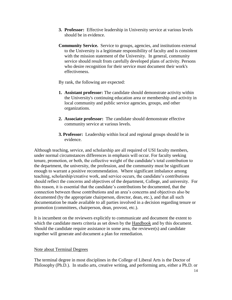- **3. Professor:** Effective leadership in University service at various levels should be in evidence.
- **Community Service.** Service to groups, agencies, and institutions external to the University is a legitimate responsibility of faculty and is consistent with the mission statement of the University. In general, community service should result from carefully developed plans of activity. Persons who desire recognition for their service must document their work's effectiveness.
- By rank, the following are expected:
- **1. Assistant professor:** The candidate should demonstrate activity within the University's continuing education area or membership and activity in local community and public service agencies, groups, and other organizations.
- **2. Associate professor:** The candidate should demonstrate effective community service at various levels.
- **3. Professor:** Leadership within local and regional groups should be in evidence.

Although teaching, service, and scholarship are all required of USI faculty members, under normal circumstances differences in emphasis will occur. For faculty seeking tenure, promotion, or both, the collective weight of the candidate's total contribution to the department, the university, the profession, and the community must be significant enough to warrant a positive recommendation. Where significant imbalance among teaching, scholarship/creative work, and service occurs, the candidate's contributions should reflect the concerns and objectives of the department, College, and university. For this reason, it is essential that the candidate's contributions be documented, that the connection between those contributions and an area's concerns and objectives also be documented (by the appropriate chairperson, director, dean, etc.), and that all such documentation be made available to all parties involved in a decision regarding tenure or promotion (committees, chairperson, dean, provost, etc.).

It is incumbent on the reviewers explicitly to communicate and document the extent to which the candidate meets criteria as set down by the Handbook and by this document. Should the candidate require assistance in some area, the reviewer(s) and candidate together will generate and document a plan for remediation.

## Note about Terminal Degrees

The terminal degree in most disciplines in the College of Liberal Arts is the Doctor of Philosophy (Ph.D.). In studio arts, creative writing, and performing arts, either a Ph.D. or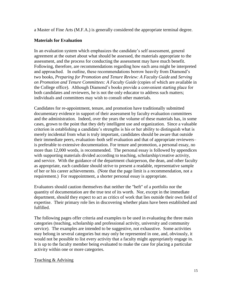a Master of Fine Arts (M.F.A.) is generally considered the appropriate terminal degree.

## **Materials for Evaluation**

In an evaluation system which emphasizes the candidate's self assessment, general agreement at the outset about what should be assessed, the materials appropriate to the assessment, and the process for conducting the assessment may have much benefit. Following, therefore, are recommendations regarding how each area might be interpreted and approached. In outline, these recommendations borrow heavily from Diamond's two books, *Preparing for Promotion and Tenure Review: A Faculty Guide* and *Serving on Promotion and Tenure Committees: A Faculty Guide* (copies of which are available in the College office). Although Diamond's books provide a convenient starting place for both candidates and reviewers, he is not the only educator to address such matters; individuals and committees may wish to consult other materials.

Candidates for re-appointment, tenure, and promotion have traditionally submitted documentary evidence in support of their assessment by faculty evaluation committees and the administration. Indeed, over the years the volume of these materials has, in some cases, grown to the point that they defy intelligent use and organization. Since a valuable criterion in establishing a candidate's strengths is his or her ability to distinguish what is merely incidental from what is truly important, candidates should be aware that outside their immediate peers, evaluation–both self evaluation and that of appropriate reviewers– is preferable to extensive documentation. For tenure and promotion, a personal essay, no more than 12,000 words, is recommended. The personal essay is followed by appendices with supporting materials divided according to teaching, scholarship/creative activity, and service. With the guidance of the department chairperson, the dean, and other faculty as appropriate, each candidate should strive to present a readable, representative sample of her or his career achievements. (Note that the page limit is a recommendation, not a requirement.) For reappointment, a shorter personal essay is appropriate.

Evaluators should caution themselves that neither the "heft" of a portfolio nor the quantity of documentation are the true test of its worth. Nor, except in the immediate department, should they expect to act as critics of work that lies outside their own field of expertise. Their primary role lies in discovering whether plans have been established and fulfilled.

The following pages offer criteria and examples to be used in evaluating the three main categories (teaching, scholarship and professional activity, university and community service). The examples are intended to be suggestive, not exhaustive. Some activities may belong in several categories but may only be represented in one, and, obviously, it would not be possible to list every activity that a faculty might appropriately engage in. It is up to the faculty member being evaluated to make the case for placing a particular activity within one or more categories.

## Teaching & Advising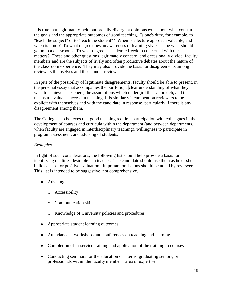It is true that legitimately-held but broadly-divergent opinions exist about what constitute the goals and the appropriate outcomes of good teaching. Is one's duty, for example, to "teach the subject" or to "teach the student"? When is a lecture approach valuable, and when is it not? To what degree does an awareness of learning styles shape what should go on in a classroom? To what degree is academic freedom concerned with these matters? These and other questions legitimately concern, and occasionally divide, faculty members and are the subjects of lively and often productive debates about the nature of the classroom experience. They may also provide the basis for disagreements among reviewers themselves and those under review.

In spite of the possibility of legitimate disagreements, faculty should be able to present, in the personal essay that accompanies the portfolio, a clear understanding of what they wish to achieve as teachers, the assumptions which undergird their approach, and the means to evaluate success in teaching. It is similarly incumbent on reviewers to be explicit with themselves and with the candidate in response–particularly if there is any disagreement among them.

The College also believes that good teaching requires participation with colleagues in the development of courses and curricula within the department (and between departments, when faculty are engaged in interdisciplinary teaching), willingness to participate in program assessment, and advising of students.

## *Examples*

In light of such considerations, the following list should help provide a basis for identifying qualities desirable in a teacher. The candidate should use them as he or she builds a case for positive evaluation. Important omissions should be noted by reviewers. This list is intended to be suggestive, not comprehensive.

- Advising
	- o Accessibility
	- o Communication skills
	- o Knowledge of University policies and procedures
- Appropriate student learning outcomes
- Attendance at workshops and conferences on teaching and learning
- Completion of in-service training and application of the training to courses
- Conducting seminars for the education of interns, graduating seniors, or professionals within the faculty member's area of expertise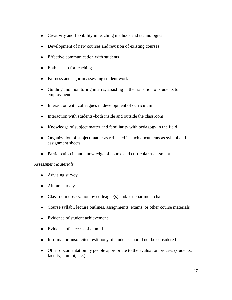- Creativity and flexibility in teaching methods and technologies
- Development of new courses and revision of existing courses  $\bullet$
- Effective communication with students  $\bullet$
- Enthusiasm for teaching
- Fairness and rigor in assessing student work  $\bullet$
- Guiding and monitoring interns, assisting in the transition of students to employment
- Interaction with colleagues in development of curriculum  $\bullet$
- $\bullet$ Interaction with students–both inside and outside the classroom
- Knowledge of subject matter and familiarity with pedagogy in the field  $\bullet$
- Organization of subject matter as reflected in such documents as syllabi and assignment sheets
- $\bullet$ Participation in and knowledge of course and curricular assessment

## *Assessment Materials*

- Advising survey
- Alumni surveys  $\bullet$
- Classroom observation by colleague(s) and/or department chair
- Course syllabi, lecture outlines, assignments, exams, or other course materials  $\bullet$
- Evidence of student achievement  $\bullet$
- Evidence of success of alumni
- Informal or unsolicited testimony of students should not be considered
- Other documentation by people appropriate to the evaluation process (students, faculty, alumni, etc.)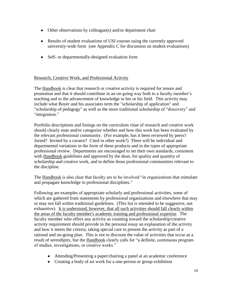- Other observations by colleague(s) and/or department chair
- Results of student evaluations of USI courses using the currently approved university-wide form (see Appendix C for discussion on student evaluations)
- Self- or departmentally-designed evaluation form

## Research, Creative Work, and Professional Activity

The Handbook is clear that research or creative activity is required for tenure and promotion and that it should contribute in an on-going way both to a faculty member's teaching and to the advancement of knowledge in her or his field. This activity may include what Boyer and his associates term the "scholarship of application" and "scholarship of pedagogy" as well as the more traditional scholarship of "discovery" and "integration."

Portfolio descriptions and listings on the curriculum vitae of research and creative work should clearly state and/or categorize whether and how this work has been evaluated by the relevant professional community. (For example, has it been reviewed by peers? Juried? Invited by a curator? Cited in other work?) There will be individual and departmental variations in the form of these products and in the types of appropriate professional review. Departments are encouraged to set their own standards, consistent with Handbook guidelines and approved by the dean, for quality and quantity of scholarship and creative work, and to define those professional communities relevant to the discipline.

The Handbook is also clear that faculty are to be involved "in organizations that stimulate and propagate knowledge in professional disciplines."

Following are examples of appropriate scholarly and professional activities, some of which are gathered from statements by professional organizations and elsewhere that may or may not fall within traditional guidelines. (This list is intended to be suggestive, not exhaustive). It is understood, however, that all such activities should fall clearly within the areas of the faculty member's academic training and professional expertise. The faculty member who offers any activity as counting toward the scholarship/creative activity requirement should provide in the personal essay an explanation of the activity and how it meets the criteria, taking special care to present the activity as part of a rational and on-going plan. This is not to discount the value of activities that occur as a result of serendipity, but the Handbook clearly calls for "a definite, continuous program of studies, investigations, or creative works."

- Attending/Presenting a paper/chairing a panel at an academic conference
- Creating a body of art work for a one-person or group exhibition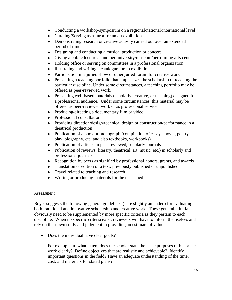- Conducting a workshop/symposium on a regional/national/international level
- Curating/Serving as a Juror for an art exhibition
- Demonstrating research or creative activity carried out over an extended period of time
- $\bullet$ Designing and conducting a musical production or concert
- Giving a public lecture at another university/museum/performing arts center
- Holding office or serving on committees in a professional organization
- Illustrating and writing a catalogue for an exhibition
- Participation in a juried show or other juried forum for creative work
- Presenting a teaching portfolio that emphasizes the scholarship of teaching the particular discipline. Under some circumstances, a teaching portfolio may be offered as peer-reviewed work.
- Presenting web-based materials (scholarly, creative, or teaching) designed for  $\bullet$ a professional audience. Under some circumstances, this material may be offered as peer-reviewed work or as professional service.
- Producing/directing a documentary film or video
- Professional consultation
- Providing direction/design/technical design or construction/performance in a theatrical production
- Publication of a book or monograph (compilation of essays, novel, poetry, play, biography, etc. and also textbooks, workbooks)
- Publication of articles in peer-reviewed, scholarly journals
- Publication of reviews (literary, theatrical, art, music, etc.) in scholarly and  $\bullet$ professional journals
- $\bullet$ Recognition by peers as signified by professional honors, grants, and awards
- Translation or edition of a text, previously published or unpublished
- Travel related to teaching and research
- Writing or producing materials for the mass media

## *Assessment*

Boyer suggests the following general guidelines (here slightly amended) for evaluating both traditional and innovative scholarship and creative work. These general criteria obviously need to be supplemented by more specific criteria as they pertain to each discipline. When no specific criteria exist, reviewers will have to inform themselves and rely on their own study and judgment in providing an estimate of value.

• Does the individual have clear goals?

For example, to what extent does the scholar state the basic purposes of his or her work clearly? Define objectives that are realistic and achievable? Identify important questions in the field? Have an adequate understanding of the time, cost, and materials for stated plans?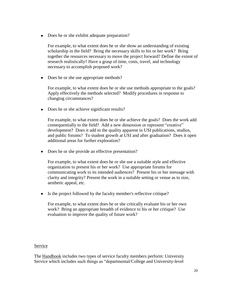• Does he or she exhibit adequate preparation?

For example, to what extent does he or she show an understanding of existing scholarship in the field? Bring the necessary skills to his or her work? Bring together the resources necessary to move the project forward? Define the extent of research realistically? Have a grasp of time, costs, travel, and technology necessary to accomplish proposed work?

• Does he or she use appropriate methods?

For example, to what extent does he or she use methods appropriate to the goals? Apply effectively the methods selected? Modify procedures in response to changing circumstances?

• Does he or she achieve significant results?

For example, to what extent does he or she achieve the goals? Does the work add consequentially to the field? Add a new dimension or represent "creative" development? Does it add to the quality apparent in USI publications, studios, and public forums? To student growth at USI and after graduation? Does it open additional areas for further exploration?

• Does he or she provide an effective presentation?

For example, to what extent does he or she use a suitable style and effective organization to present his or her work? Use appropriate forums for communicating work to its intended audiences? Present his or her message with clarity and integrity? Present the work in a suitable setting or venue as to size, aesthetic appeal, etc.

• Is the project followed by the faculty member's reflective critique?

For example, to what extent does he or she critically evaluate his or her own work? Bring an appropriate breadth of evidence to his or her critique? Use evaluation to improve the quality of future work?

## Service

The Handbook includes two types of service faculty members perform: University Service which includes such things as "departmental/College and University-level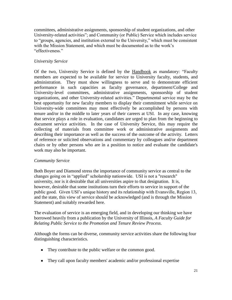committees, administrative assignments, sponsorship of student organizations, and other University-related activities"; and Community (or Public) Service which includes service to "groups, agencies, and institution external to the University," which must be consistent with the Mission Statement, and which must be documented as to the work's "effectiveness."

# *University Service*

Of the two, University Service is defined by the Handbook as mandatory: "Faculty members are expected to be available for service to University faculty, students, and administration. They must show willingness to serve and to demonstrate efficient performance in such capacities as faculty governance, department/College and University-level committees, administrative assignments, sponsorship of student organizations, and other University-related activities." Departmental service may be the best opportunity for new faculty members to display their commitment while service on University-wide committees may most effectively be accomplished by persons with tenure and/or in the middle to later years of their careers at USI. In any case, knowing that service plays a role in evaluation, candidates are urged to plan from the beginning to document service activities. In the case of University Service, this may require the collecting of materials from committee work or administrative assignments and describing their importance as well as the success of the outcome of the activity. Letters of reference or solicited observations and commentary by colleagues and/or department chairs or by other persons who are in a position to notice and evaluate the candidate's work may also be important.

## *Community Service*

Both Boyer and Diamond stress the importance of community service as central to the changes going on in "applied" scholarship nationwide. USI is not a "research" university, nor is it desirable that all universities aspire to that designation. It is, however, desirable that some institutions turn their efforts to service in support of the public good. Given USI's unique history and its relationship with Evansville, Region 13, and the state, this view of service should be acknowledged (and is through the Mission Statement) and suitably rewarded here.

The evaluation of service is an emerging field, and in developing our thinking we have borrowed heavily from a publication by the University of Illinois, *A Faculty Guide for Relating Public Service to the Promotion and Tenure Review Process*.

Although the forms can be diverse, community service activities share the following four distinguishing characteristics.

- They contribute to the public welfare or the common good.
- They call upon faculty members' academic and/or professional expertise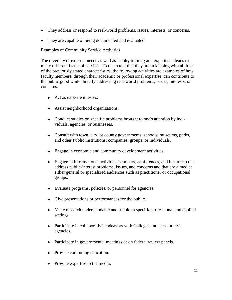- They address or respond to real-world problems, issues, interests, or concerns.
- They are capable of being documented and evaluated.

Examples of Community Service Activities

The diversity of external needs as well as faculty training and experience leads to many different forms of service. To the extent that they are in keeping with all four of the previously stated characteristics, the following activities are examples of how faculty members, through their academic or professional expertise, can contribute to the public good while directly addressing real-world problems, issues, interests, or concerns.

- Act as expert witnesses.
- Assist neighborhood organizations.
- Conduct studies on specific problems brought to one's attention by indi- $\bullet$ viduals, agencies, or businesses.
- $\bullet$ Consult with town, city, or county governments; schools, museums, parks, and other Public institutions; companies; groups; or individuals.
- Engage in economic and community development activities.  $\bullet$
- Engage in informational activities (seminars, conferences, and institutes) that address public-interest problems, issues, and concerns and that are aimed at either general or specialized audiences such as practitioner or occupational groups.
- Evaluate programs, policies, or personnel for agencies.  $\bullet$
- Give presentations or performances for the public.  $\bullet$
- $\bullet$ Make research understandable and usable in specific professional and applied settings.
- Participate in collaborative endeavors with Colleges, industry, or civic  $\bullet$ agencies.
- Participate in governmental meetings or on federal review panels.  $\bullet$
- Provide continuing education.  $\bullet$
- Provide expertise to the media.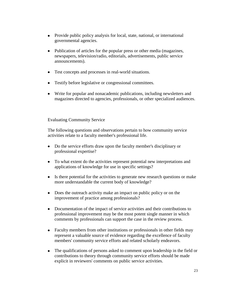- $\bullet$ Provide public policy analysis for local, state, national, or international governmental agencies.
- $\bullet$ Publication of articles for the popular press or other media (magazines, newspapers, television/radio, editorials, advertisements, public service announcements).
- Test concepts and processes in real-world situations.  $\bullet$
- Testify before legislative or congressional committees.  $\bullet$
- Write for popular and nonacademic publications, including newsletters and magazines directed to agencies, professionals, or other specialized audiences.

#### Evaluating Community Service

The following questions and observations pertain to how community service activities relate to a faculty member's professional life.

- Do the service efforts draw upon the faculty member's disciplinary or  $\bullet$ professional expertise?
- To what extent do the activities represent potential new interpretations and  $\bullet$ applications of knowledge for use in specific settings?
- Is there potential for the activities to generate new research questions or make  $\bullet$ more understandable the current body of knowledge?
- Does the outreach activity make an impact on public policy or on the  $\bullet$ improvement of practice among professionals?
- Documentation of the impact of service activities and their contributions to  $\bullet$ professional improvement may be the most potent single manner in which comments by professionals can support the case in the review process.
- $\bullet$ Faculty members from other institutions or professionals in other fields may represent a valuable source of evidence regarding the excellence of faculty members' community service efforts and related scholarly endeavors.
- $\bullet$ The qualifications of persons asked to comment upon leadership in the field or contributions to theory through community service efforts should be made explicit in reviewers' comments on public service activities.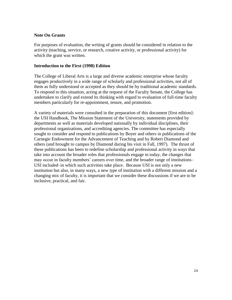## **Note On Grants**

For purposes of evaluation, the writing of grants should be considered in relation to the activity (teaching, service, or research, creative activity, or professional activity) for which the grant was written.

## **Introduction to the First (1998) Edition**

The College of Liberal Arts is a large and diverse academic enterprise whose faculty engages productively in a wide range of scholarly and professional activities, not all of them as fully understood or accepted as they should be by traditional academic standards. To respond to this situation, acting at the request of the Faculty Senate, the College has undertaken to clarify and extend its thinking with regard to evaluation of full-time faculty members particularly for re-appointment, tenure, and promotion.

A variety of materials were consulted in the preparation of this document [first edition]: the USI Handbook, The Mission Statement of the University, statements provided by departments as well as materials developed nationally by individual disciplines, their professional organizations, and accrediting agencies. The committee has especially sought to consider and respond to publications by Boyer and others in publications of the Carnegie Endowment for the Advancement of Teaching and by Robert Diamond and others (and brought to campus by Diamond during his visit in Fall, 1997). The thrust of these publications has been to redefine scholarship and professional activity in ways that take into account the broader roles that professionals engage in today, the changes that may occur in faculty members' careers over time, and the broader range of institutions– USI included–in which such activities take place. Because USI is not only a new institution but also, in many ways, a new *type* of institution with a different mission and a changing mix of faculty, it is important that we consider these discussions if we are to be inclusive, practical, and fair.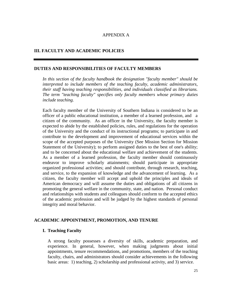#### APPENDIX A

## **III. FACULTY AND ACADEMIC POLICIES**

#### **DUTIES AND RESPONSIBILITIES OF FACULTY MEMBERS**

*In this section of the faculty handbook the designation "faculty member" should be interpreted to include members of the teaching faculty, academic administrators, their staff having teaching responsibilities, and individuals classified as librarians. The term "teaching faculty" specifies only faculty members whose primary duties include teaching.* 

Each faculty member of the University of Southern Indiana is considered to be an officer of a public educational institution, a member of a learned profession, and a citizen of the community. As an officer in the University, the faculty member is expected to abide by the established policies, rules, and regulations for the operation of the University and the conduct of its instructional programs; to participate in and contribute to the development and improvement of educational services within the scope of the accepted purposes of the University (See Mission Section for Mission Statement of the University); to perform assigned duties to the best of one's ability; and to be concerned about the educational welfare and achievement of the students. As a member of a learned profession, the faculty member should continuously endeavor to improve scholarly attainments; should participate in appropriate organized professional activities; and should contribute, through research, teaching, and service, to the expansion of knowledge and the advancement of learning. As a citizen, the faculty member will accept and uphold the principles and ideals of American democracy and will assume the duties and obligations of all citizens in promoting the general welfare in the community, state, and nation. Personal conduct and relationships with students and colleagues should conform to the accepted ethics of the academic profession and will be judged by the highest standards of personal integrity and moral behavior.

#### **ACADEMIC APPOINTMENT, PROMOTION, AND TENURE**

#### **I. Teaching Faculty**

A strong faculty possesses a diversity of skills, academic preparation, and experience. In general, however, when making judgments about initial appointments, tenure recommendations, and promotions, members of the teaching faculty, chairs, and administrators should consider achievements in the following basic areas: 1) teaching, 2) scholarship and professional activity, and 3) service.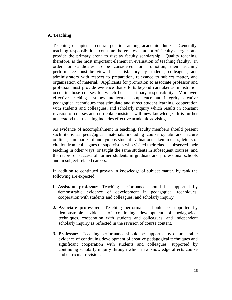## **A. Teaching**

Teaching occupies a central position among academic duties. Generally, teaching responsibilities consume the greatest amount of faculty energies and provide the primary arena to display faculty scholarship. Quality teaching, therefore, is the most important element in evaluation of teaching faculty. In order for candidates to be considered for promotion, their teaching performance must be viewed as satisfactory by students, colleagues, and administrators with respect to preparation, relevance to subject matter, and organization of material. Applicants for promotion to associate professor and professor must provide evidence that efforts beyond caretaker administration occur in those courses for which he has primary responsibility. Moreover, effective teaching assumes intellectual competence and integrity, creative pedagogical techniques that stimulate and direct student learning, cooperation with students and colleagues, and scholarly inquiry which results in constant revision of courses and curricula consistent with new knowledge. It is further understood that teaching includes effective academic advising.

As evidence of accomplishment in teaching, faculty members should present such items as pedagogical materials including course syllabi and lecture outlines; summaries of anonymous student evaluations taken in class; letters of citation from colleagues or supervisors who visited their classes, observed their teaching in other ways, or taught the same students in subsequent courses; and the record of success of former students in graduate and professional schools and in subject-related careers.

In addition to continued growth in knowledge of subject matter, by rank the following are expected:

- **1. Assistant professor:** Teaching performance should be supported by demonstrable evidence of development in pedagogical techniques, cooperation with students and colleagues, and scholarly inquiry.
- **2. Associate professor:** Teaching performance should be supported by demonstrable evidence of continuing development of pedagogical techniques, cooperation with students and colleagues, and independent scholarly inquiry as reflected in the revision of course content.
- **3. Professor:** Teaching performance should be supported by demonstrable evidence of continuing development of creative pedagogical techniques and significant cooperation with students and colleagues, supported by continuing scholarly inquiry through which new knowledge affects course and curricular revision.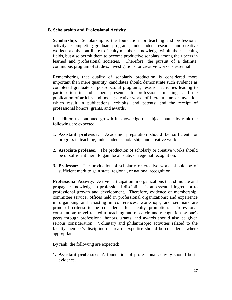## **B. Scholarship and Professional Activity**

**Scholarship.** Scholarship is the foundation for teaching and professional activity. Completing graduate programs, independent research, and creative works not only contribute to faculty members' knowledge within their teaching fields, but also permit them to become productive scholars among their peers in learned and professional societies. Therefore, the pursuit of a definite, continuous program of studies, investigations, or creative works is essential.

Remembering that quality of scholarly production is considered more important than mere quantity, candidates should demonstrate such evidence as completed graduate or post-doctoral programs; research activities leading to participation in and papers presented to professional meetings and the publication of articles and books; creative works of literature, art or invention which result in publications, exhibits, and patents; and the receipt of professional honors, grants, and awards.

In addition to continued growth in knowledge of subject matter by rank the following are expected:

- **1. Assistant professor:** Academic preparation should be sufficient for progress in teaching, independent scholarship, and creative work.
- **2. Associate professor:** The production of scholarly or creative works should be of sufficient merit to gain local, state, or regional recognition.
- **3. Professor:** The production of scholarly or creative works should be of sufficient merit to gain state, regional, or national recognition.

**Professional Activity.** Active participation in organizations that stimulate and propagate knowledge in professional disciplines is an essential ingredient to professional growth and development. Therefore, evidence of membership; committee service; offices held in professional organizations; and experience in organizing and assisting in conferences, workshops, and seminars are principal criteria to be considered for faculty promotion. Professional consultation; travel related to teaching and research; and recognition by one's peers through professional honors, grants, and awards should also be given serious consideration. Voluntary and philanthropic activities related to the faculty member's discipline or area of expertise should be considered where appropriate.

By rank, the following are expected:

**1. Assistant professor:** A foundation of professional activity should be in evidence.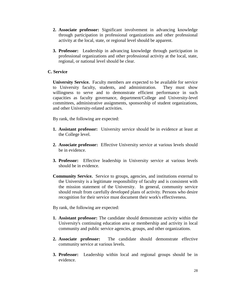- **2. Associate professor:** Significant involvement in advancing knowledge through participation in professional organizations and other professional activity at the local, state, or regional level should be apparent.
- **3. Professor:** Leadership in advancing knowledge through participation in professional organizations and other professional activity at the local, state, regional, or national level should be clear.

## **C. Service**

**University Service.** Faculty members are expected to be available for service to University faculty, students, and administration. They must show willingness to serve and to demonstrate efficient performance in such capacities as faculty governance, department/College and University-level committees, administrative assignments, sponsorship of student organizations, and other University-related activities.

By rank, the following are expected:

- **1. Assistant professor:** University service should be in evidence at least at the College level.
- **2. Associate professor:** Effective University service at various levels should be in evidence.
- **3. Professor:** Effective leadership in University service at various levels should be in evidence.
- **Community Service.** Service to groups, agencies, and institutions external to the University is a legitimate responsibility of faculty and is consistent with the mission statement of the University. In general, community service should result from carefully developed plans of activity. Persons who desire recognition for their service must document their work's effectiveness.

By rank, the following are expected:

- **1. Assistant professor:** The candidate should demonstrate activity within the University's continuing education area or membership and activity in local community and public service agencies, groups, and other organizations.
- **2. Associate professor:** The candidate should demonstrate effective community service at various levels.
- **3. Professor:** Leadership within local and regional groups should be in evidence.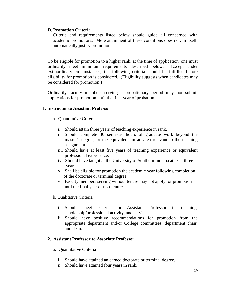## **D. Promotion Criteria**

Criteria and requirements listed below should guide all concerned with academic promotions. Mere attainment of these conditions does not, in itself, automatically justify promotion.

To be eligible for promotion to a higher rank, at the time of application, one must ordinarily meet minimum requirements described below. Except under extraordinary circumstances, the following criteria should be fulfilled before eligibility for promotion is considered. (Eligibility suggests when candidates may be considered for promotion.)

Ordinarily faculty members serving a probationary period may not submit applications for promotion until the final year of probation.

## **1. Instructor to Assistant Professor**

- a. Quantitative Criteria
	- i. Should attain three years of teaching experience in rank.
	- ii. Should complete 30 semester hours of graduate work beyond the master's degree, or the equivalent, in an area relevant to the teaching assignment.
	- iii. Should have at least five years of teaching experience or equivalent professional experience.
	- iv. Should have taught at the University of Southern Indiana at least three years.
	- v. Shall be eligible for promotion the academic year following completion of the doctorate or terminal degree.
	- vi. Faculty members serving without tenure may not apply for promotion until the final year of non-tenure.
- b. Qualitative Criteria
	- i. Should meet criteria for Assistant Professor in teaching, scholarship/professional activity, and service.
	- ii. Should have positive recommendations for promotion from the appropriate department and/or College committees, department chair, and dean.

#### **2. Assistant Professor to Associate Professor**

- a. Quantitative Criteria
	- i. Should have attained an earned doctorate or terminal degree.
	- ii. Should have attained four years in rank.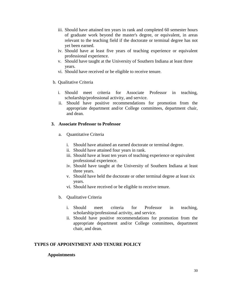- iii. Should have attained ten years in rank and completed 60 semester hours of graduate work beyond the master's degree, or equivalent, in areas relevant to the teaching field if the doctorate or terminal degree has not yet been earned.
- iv. Should have at least five years of teaching experience or equivalent professional experience.
- v. Should have taught at the University of Southern Indiana at least three years.
- vi. Should have received or be eligible to receive tenure.
- b. Qualitative Criteria
	- i. Should meet criteria for Associate Professor in teaching, scholarship/professional activity, and service.
	- ii. Should have positive recommendations for promotion from the appropriate department and/or College committees, department chair, and dean.

## **3. Associate Professor to Professor**

- a. Quantitative Criteria
	- i. Should have attained an earned doctorate or terminal degree.
	- ii. Should have attained four years in rank.
	- iii. Should have at least ten years of teaching experience or equivalent professional experience.
	- iv. Should have taught at the University of Southern Indiana at least three years.
	- v. Should have held the doctorate or other terminal degree at least six years.
	- vi. Should have received or be eligible to receive tenure.
- b. Qualitative Criteria
	- i. Should meet criteria for Professor in teaching, scholarship/professional activity, and service.
	- ii. Should have positive recommendations for promotion from the appropriate department and/or College committees, department chair, and dean.

## **TYPES OF APPOINTMENT AND TENURE POLICY**

## **Appointments**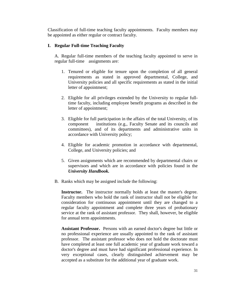Classification of full-time teaching faculty appointments. Faculty members may be appointed as either regular or contract faculty.

# **I. Regular Full-time Teaching Faculty**

A. Regular full-time members of the teaching faculty appointed to serve in regular full-time assignments are:

- 1. Tenured or eligible for tenure upon the completion of all general requirements as stated in approved departmental, College, and University policies and all specific requirements as stated in the initial letter of appointment;
- 2. Eligible for all privileges extended by the University to regular fulltime faculty, including employee benefit programs as described in the letter of appointment;
- 3. Eligible for full participation in the affairs of the total University, of its component institutions (e.g., Faculty Senate and its councils and committees), and of its departments and administrative units in accordance with University policy;
- 4. Eligible for academic promotion in accordance with departmental, College, and University policies; and
- 5. Given assignments which are recommended by departmental chairs or supervisors and which are in accordance with policies found in the *University Handbook.*
- B. Ranks which may be assigned include the following:

**Instructor.** The instructor normally holds at least the master's degree. Faculty members who hold the rank of instructor shall not be eligible for consideration for continuous appointment until they are changed to a regular faculty appointment and complete three years of probationary service at the rank of assistant professor. They shall, however, be eligible for annual term appointments.

**Assistant Professor.** Persons with an earned doctor's degree but little or no professional experience are usually appointed to the rank of assistant professor. The assistant professor who does not hold the doctorate must have completed at least one full academic year of graduate work toward a doctor's degree and must have had significant professional experience. In very exceptional cases, clearly distinguished achievement may be accepted as a substitute for the additional year of graduate work.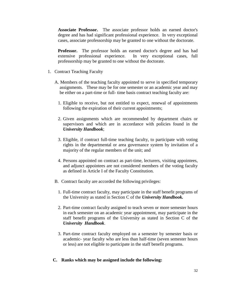**Associate Professor.** The associate professor holds an earned doctor's degree and has had significant professional experience. In very exceptional cases, associate professorship may be granted to one without the doctorate.

**Professor.** The professor holds an earned doctor's degree and has had extensive professional experience. In very exceptional cases, full professorship may be granted to one without the doctorate.

- 1. Contract Teaching Faculty
	- A. Members of the teaching faculty appointed to serve in specified temporary assignments. These may be for one semester or an academic year and may be either on a part-time or full- time basis contract teaching faculty are:
		- 1. Eligible to receive, but not entitled to expect, renewal of appointments following the expiration of their current appointments;
		- 2. Given assignments which are recommended by department chairs or supervisors and which are in accordance with policies found in the *University Handbook*;
		- 3. Eligible, if contract full-time teaching faculty, to participate with voting rights in the departmental or area governance system by invitation of a majority of the regular members of the unit; and
		- 4. Persons appointed on contract as part-time, lecturers, visiting appointees, and adjunct appointees are not considered members of the voting faculty as defined in Article I of the Faculty Constitution.
	- B. Contract faculty are accorded the following privileges:
		- 1. Full-time contract faculty, may participate in the staff benefit programs of the University as stated in Section C of the *University Handbook.*
		- 2. Part-time contract faculty assigned to teach seven or more semester hours in each semester on an academic year appointment, may participate in the staff benefit programs of the University as stated in Section C of the *University Handbook*.
		- 3. Part-time contract faculty employed on a semester by semester basis or academic- year faculty who are less than half-time (seven semester hours or less) are not eligible to participate in the staff benefit programs.

#### **C. Ranks which may be assigned include the following:**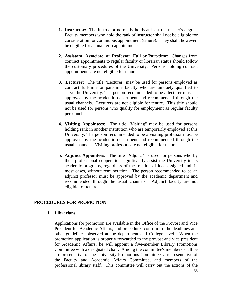- **1. Instructor:** The instructor normally holds at least the master's degree. Faculty members who hold the rank of instructor shall not be eligible for consideration for continuous appointment (tenure). They shall, however, be eligible for annual term appointments.
- **2. Assistant, Associate, or Professor, Full or Part-time:** Changes from contract appointments to regular faculty or librarian status should follow the customary procedures of the University. Persons holding contract appointments are not eligible for tenure.
- **3. Lecturer:** The title "Lecturer" may be used for persons employed as contract full-time or part-time faculty who are uniquely qualified to serve the University. The person recommended to be a lecturer must be approved by the academic department and recommended through the usual channels. Lecturers are not eligible for tenure. This title should not be used for persons who qualify for employment as regular faculty personnel.
- **4. Visiting Appointees:** The title "Visiting" may be used for persons holding rank in another institution who are temporarily employed at this University. The person recommended to be a visiting professor must be approved by the academic department and recommended through the usual channels. Visiting professors are not eligible for tenure.
- **5. Adjunct Appointees:** The title "Adjunct" is used for persons who by their professional cooperation significantly assist the University in its academic programs, regardless of the fraction of load assigned and, in most cases, without remuneration. The person recommended to be an adjunct professor must be approved by the academic department and recommended through the usual channels. Adjunct faculty are not eligible for tenure.

## **PROCEDURES FOR PROMOTION**

## **I. Librarians**

Applications for promotion are available in the Office of the Provost and Vice President for Academic Affairs, and procedures conform to the deadlines and other guidelines observed at the department and College level. When the promotion application is properly forwarded to the provost and vice president for Academic Affairs, he will appoint a five-member Library Promotions Committee with a designated chair. Among the committee's members shall be a representative of the University Promotions Committee, a representative of the Faculty and Academic Affairs Committee, and members of the professional library staff. This committee will carry out the actions of the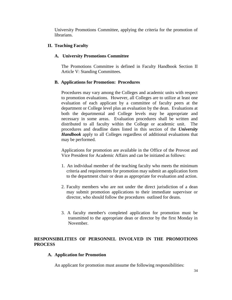University Promotions Committee, applying the criteria for the promotion of librarians.

## **II. Teaching Faculty**

## **A. University Promotions Committee**

The Promotions Committee is defined in Faculty Handbook Section II Article V: Standing Committees.

## **B. Applications for Promotion: Procedures**

Procedures may vary among the Colleges and academic units with respect to promotion evaluations. However, all Colleges are to utilize at least one evaluation of each applicant by a committee of faculty peers at the department or College level plus an evaluation by the dean. Evaluations at both the departmental and College levels may be appropriate and necessary in some areas. Evaluation procedures shall be written and distributed to all faculty within the College or academic unit. The procedures and deadline dates listed in this section of the *University Handbook* apply to all Colleges regardless of additional evaluations that may be performed.

Applications for promotion are available in the Office of the Provost and Vice President for Academic Affairs and can be initiated as follows:

- 1. An individual member of the teaching faculty who meets the minimum criteria and requirements for promotion may submit an application form to the department chair or dean as appropriate for evaluation and action.
- 2. Faculty members who are not under the direct jurisdiction of a dean may submit promotion applications to their immediate supervisor or director, who should follow the procedures outlined for deans.
- 3. A faculty member's completed application for promotion must be transmitted to the appropriate dean or director by the first Monday in November.

## **RESPONSIBILITIES OF PERSONNEL INVOLVED IN THE PROMOTIONS PROCESS**

## **A. Application for Promotion**

An applicant for promotion must assume the following responsibilities: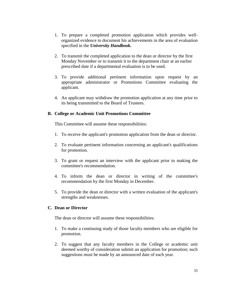- 1. To prepare a completed promotion application which provides wellorganized evidence to document his achievements in the area of evaluation specified in the *University Handbook.*
- 2. To transmit the completed application to the dean or director by the first Monday November or to transmit it to the department chair at an earlier prescribed date if a departmental evaluation is to be used.
- 3. To provide additional pertinent information upon request by an appropriate administrator or Promotions Committee evaluating the applicant.
- 4. An applicant may withdraw the promotion application at any time prior to its being transmitted to the Board of Trustees.

## **B. College or Academic Unit Promotions Committee**

This Committee will assume these responsibilities:

- 1. To receive the applicant's promotion application from the dean or director.
- 2. To evaluate pertinent information concerning an applicant's qualifications for promotion.
- 3. To grant or request an interview with the applicant prior to making the committee's recommendation.
- 4. To inform the dean or director in writing of the committee's recommendation by the first Monday in December.
- 5. To provide the dean or director with a written evaluation of the applicant's strengths and weaknesses.

## **C. Dean or Director**

The dean or director will assume these responsibilities:

- 1. To make a continuing study of those faculty members who are eligible for promotion.
- 2. To suggest that any faculty members in the College or academic unit deemed worthy of consideration submit an application for promotion; such suggestions must be made by an announced date of each year.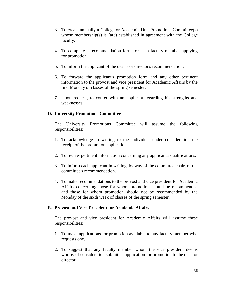- 3. To create annually a College or Academic Unit Promotions Committee(s) whose membership(s) is (are) established in agreement with the College faculty.
- 4. To complete a recommendation form for each faculty member applying for promotion.
- 5. To inform the applicant of the dean's or director's recommendation.
- 6. To forward the applicant's promotion form and any other pertinent information to the provost and vice president for Academic Affairs by the first Monday of classes of the spring semester.
- 7. Upon request, to confer with an applicant regarding his strengths and weaknesses.

# **D. University Promotions Committee**

The University Promotions Committee will assume the following responsibilities:

- 1. To acknowledge in writing to the individual under consideration the receipt of the promotion application.
- 2. To review pertinent information concerning any applicant's qualifications.
- 3. To inform each applicant in writing, by way of the committee chair, of the committee's recommendation.
- 4. To make recommendations to the provost and vice president for Academic Affairs concerning those for whom promotion should be recommended and those for whom promotion should not be recommended by the Monday of the sixth week of classes of the spring semester.

## **E. Provost and Vice President for Academic Affairs**

The provost and vice president for Academic Affairs will assume these responsibilities:

- 1. To make applications for promotion available to any faculty member who requests one.
- 2. To suggest that any faculty member whom the vice president deems worthy of consideration submit an application for promotion to the dean or director.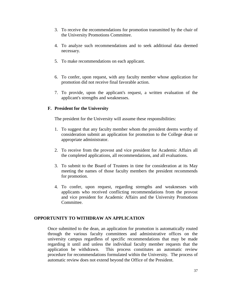- 3. To receive the recommendations for promotion transmitted by the chair of the University Promotions Committee.
- 4. To analyze such recommendations and to seek additional data deemed necessary.
- 5. To make recommendations on each applicant.
- 6. To confer, upon request, with any faculty member whose application for promotion did not receive final favorable action.
- 7. To provide, upon the applicant's request, a written evaluation of the applicant's strengths and weaknesses.

## **F. President for the University**

The president for the University will assume these responsibilities:

- 1. To suggest that any faculty member whom the president deems worthy of consideration submit an application for promotion to the College dean or appropriate administrator.
- 2. To receive from the provost and vice president for Academic Affairs all the completed applications, all recommendations, and all evaluations.
- 3. To submit to the Board of Trustees in time for consideration at its May meeting the names of those faculty members the president recommends for promotion.
- 4. To confer, upon request, regarding strengths and weaknesses with applicants who received conflicting recommendations from the provost and vice president for Academic Affairs and the University Promotions Committee.

## **OPPORTUNITY TO WITHDRAW AN APPLICATION**

Once submitted to the dean, an application for promotion is automatically routed through the various faculty committees and administrative offices on the university campus regardless of specific recommendations that may be made regarding it until and unless the individual faculty member requests that the application be withdrawn. This process constitutes an automatic review procedure for recommendations formulated within the University. The process of automatic review does not extend beyond the Office of the President.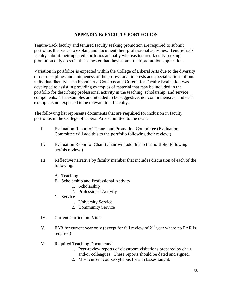# **APPENDIX B: FACULTY PORTFOLIOS**

Tenure-track faculty and tenured faculty seeking promotion are required to submit portfolios that serve to explain and document their professional activities. Tenure-track faculty submit their updated portfolios annually whereas tenured faculty seeking promotion only do so in the semester that they submit their promotion application.

Variation in portfolios is expected within the College of Liberal Arts due to the diversity of our disciplines and uniqueness of the professional interests and specializations of our individual faculty. The liberal arts' Contexts and Criteria for Faculty Evaluation was developed to assist in providing examples of material that may be included in the portfolio for describing professional activity in the teaching, scholarship, and service components. The examples are intended to be suggestive, not comprehensive, and each example is not expected to be relevant to all faculty.

The following list represents documents that are **required** for inclusion in faculty portfolios in the College of Liberal Arts submitted to the dean.

- I. Evaluation Report of Tenure and Promotion Committee (Evaluation Committee will add this to the portfolio following their review.)
- II. Evaluation Report of Chair (Chair will add this to the portfolio following her/his review.)
- III. Reflective narrative by faculty member that includes discussion of each of the following:
	- A. Teaching
	- B. Scholarship and Professional Activity
		- 1. Scholarship
			- 2. Professional Activity
	- C. Service
		- 1. University Service
		- 2. Community Service
- IV. Current Curriculum Vitae
- V. FAR for current year only (except for fall review of  $2<sup>nd</sup>$  year where no FAR is required)
- VI. Required Teaching Documents<sup>1</sup>
	- 1. Peer-review reports of classroom visitations prepared by chair and/or colleagues. These reports should be dated and signed.
	- 2. Most current course syllabus for all classes taught.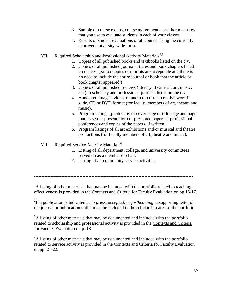- 3. Sample of course exams, course assignments, or other measures that you use to evaluate students in each of your classes.
- 4. Results of student evaluations of all courses using the currently approved university-wide form.
- VII. Required Scholarship and Professional Activity Materials<sup>2,3</sup>
	- 1. Copies of all published books and textbooks listed on the c.v.
	- 2. Copies of all published journal articles and book chapters listed on the c.v. (Xerox copies or reprints are acceptable and there is no need to include the entire journal or book that the article or book chapter appeared.)
	- 3. Copies of all published reviews (literary, theatrical, art, music, etc.) in scholarly and professional journals listed on the c.v.
	- 4. Annotated images, video, or audio of current creative work in slide, CD or DVD format (for faculty members of art, theatre and music).
	- 5. Program listings (photocopy of cover page or title page and page that lists your presentation) of presented papers at professional conferences and copies of the papers, if written.
	- 6. Program listings of all art exhibitions and/or musical and theatre productions (for faculty members of art, theatre and music).

# VIII. Required Service Activity Materials<sup>4</sup>

- 1. Listing of all department, college, and university committees served on as a member or chair.
- 2. Listing of all community service activities.

---------------------------------------------------------------------------------------------------------

 $<sup>1</sup>A$  listing of other materials that may be included with the portfolio related to teaching</sup> effectiveness is provided in the Contexts and Criteria for Faculty Evaluation on pp 16-17.

2 If a publication is indicated as *in press*, *accepted*, or *forthcoming*, a supporting letter of the journal or publication outlet must be included in the scholarship area of the portfolio.

<sup>3</sup>A listing of other materials that may be documented and included with the portfolio related to scholarship and professional activity is provided in the Contexts and Criteria for Faculty Evaluation on p. 18

<sup>4</sup>A listing of other materials that may be documented and included with the portfolio related to service activity is provided in the Contexts and Criteria for Faculty Evaluation on pp. 21-22.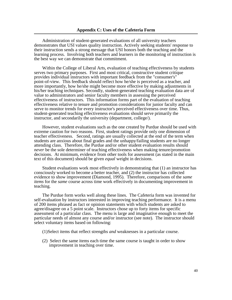Administration of student-generated evaluations of all university teachers demonstrates that USI values quality instruction. Actively seeking students' response to their instruction sends a strong message that USI honors both the teaching and the learning process. Involving both teachers and learners in the monitoring of instruction is the best way we can demonstrate that commitment.

Within the College of Liberal Arts, evaluation of teaching effectiveness by students serves two primary purposes. First and most critical, constructive student critique provides individual instructors with important feedback from the "consumer's" point-of-view. This feedback should reflect how he/she is perceived as a teacher, and more importantly, how he/she might become more effective by making adjustments in his/her teaching techniques. Secondly, student-generated teaching evaluation data are of value to administrators and senior faculty members in assessing the perceived effectiveness of instructors. This information forms part of the evaluation of teaching effectiveness relative to tenure and promotion considerations for junior faculty and can serve to monitor trends for every instructor's perceived effectiveness over time. Thus, student-generated teaching effectiveness evaluations should serve primarily the instructor, and secondarily the university (department, college/).

However, student evaluations such as the one created by Purdue should be used with extreme caution for two reasons. First, student ratings provide only one dimension of teacher effectiveness. Second, ratings are usually collected at the end of the term when students are anxious about final grades and the unhappy/failing students are no longer attending class. Therefore, the Purdue and/or other student evaluation results should *never* be the sole determiner of teaching effectiveness when making tenure/promotion decisions. At minimum, evidence from other tools for assessment (as stated in the main text of this document) should be given *equal* weight in decisions.

Student evaluations work most effectively in demonstrating that (1) an instructor has consciously worked to become a better teacher, and (2) the instructor has collected evidence to show improvement (Diamond, 1995). Therefore, comparisons of the *same items* for the *same* course across time work effectively in documenting improvement in teaching.

The Purdue form works well along these lines. The Cafeteria form was invented for self-evaluation by instructors interested in improving teaching performance. It is a menu of 200 items phrased as fact or opinion statements with which students are asked to agree/disagree on a 5 point scale. Instructors chose up to forty items for specific assessment of a particular class. The menu is large and imaginative enough to meet the particular needs of almost any course and/or instructor (see note). The instructor should select voluntary items based on following:

- (1)Select items that reflect strengths *and* weaknesses in a particular course.
- (2) Select the same items each time the same course is taught in order to show improvement in teaching over time.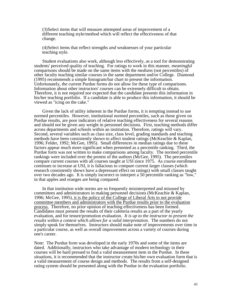(3)Select items that will measure attempted areas of improvement of a different teaching style/method which will reflect the effectiveness of that change.

(4)Select items that reflect strengths *and* weaknesses of your particular teaching style.

Student evaluations also work, although less effectively, as a tool for demonstrating students' perceived quality of teaching. For ratings to work in this manner, *meaningful* comparisons should be made on the same items with the *medians* (not percentiles) of other faculty teaching similar courses in the same department and/or College. Diamond (1995) recommends a simple histogram/bar chart to present the information. Unfortunately, the current Purdue forms do not allow for these type of comparisons. Information about other instructors' courses can be extremely difficult to obtain. Therefore, it is not required nor expected that the candidate presents this information in his/her teaching portfolio. If a candidate is able to produce this information, it should be viewed as "icing on the cake."

Given the lack of utility inherent in the Purdue forms, it is tempting instead to use normed percentiles. However, institutional normed percentiles, such as those given on Purdue results, are poor indicators of relative teaching effectiveness for several reasons and should not be given any weight in personnel decisions. First, teaching methods differ across departments and schools within an institution. Therefore, ratings will vary. Second, several variables such as class size, class level, grading standards and teaching methods have been consistently shown to affect student ratings (McKeachie & Kaplan, 1996; Felder, 1992; McGee, 1995). Small differences in median ratings due to these factors appear much more significant when presented as a percentile ranking. Third, the Purdue form was not written to make comparisons among faculty. The normed percentile rankings were included over the protest of the authors (McGee, 1995). The percentiles compare current courses with all courses taught at USI since 1975. As course enrollment continues to increase at USI, it is fallacious to compare current larger classes (which research consistently shows have a depressant effect on ratings) with small classes taught over two decades ago. It is simply incorrect to interpret a 50 percentile ranking as "low," in that apples and oranges are being compared.

In that institution wide norms are so frequently misinterpreted and misused by committees and administrators in making personnel decisions (McKeachie & Kaplan, 1996; McGee, 1995), it is the policy of the College of Liberal Arts to not provide committee members and administrators with the Purdue results prior to the evaluation process. Therefore, no prior opinion of teaching effectiveness has been formed. Candidates must present the results of their cafeteria results as a part of the yearly evaluation, and for tenure/promotion evaluation. *It is up to the instructor to present the results within a context which allows for a valid interpretation*. The numbers do not simply speak for themselves. Instructors should make note of improvements over time in a particular course, as well as overall improvement across a variety of courses during one's career.

Note: The Purdue form was developed in the early 1970s and some of the items are dated. Additionally, instructors who take advantage of modern technology in their courses will be hard pressed to find a valid measurement item in the Purdue. In these situations, it is recommended that the instructor create his/her own evaluation form that is a valid measurement of course design and methods. The results from a self-designed rating system should be presented along with the Purdue in the evaluation portfolio.